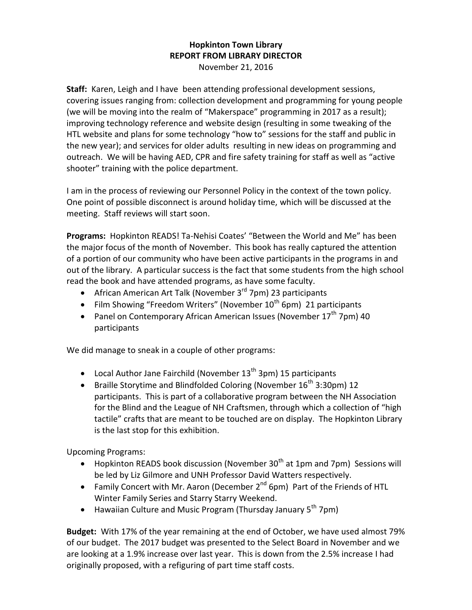## **Hopkinton Town Library REPORT FROM LIBRARY DIRECTOR** November 21, 2016

**Staff:** Karen, Leigh and I have been attending professional development sessions, covering issues ranging from: collection development and programming for young people (we will be moving into the realm of "Makerspace" programming in 2017 as a result); improving technology reference and website design (resulting in some tweaking of the HTL website and plans for some technology "how to" sessions for the staff and public in the new year); and services for older adults resulting in new ideas on programming and outreach. We will be having AED, CPR and fire safety training for staff as well as "active shooter" training with the police department.

I am in the process of reviewing our Personnel Policy in the context of the town policy. One point of possible disconnect is around holiday time, which will be discussed at the meeting. Staff reviews will start soon.

**Programs:** Hopkinton READS! Ta-Nehisi Coates' "Between the World and Me" has been the major focus of the month of November. This book has really captured the attention of a portion of our community who have been active participants in the programs in and out of the library. A particular success is the fact that some students from the high school read the book and have attended programs, as have some faculty.

- African American Art Talk (November  $3^{rd}$  7pm) 23 participants
- Film Showing "Freedom Writers" (November  $10^{th}$  6pm) 21 participants
- Panel on Contemporary African American Issues (November  $17<sup>th</sup>$  7pm) 40 participants

We did manage to sneak in a couple of other programs:

- Local Author Jane Fairchild (November  $13<sup>th</sup> 3pm) 15$  participants
- **•** Braille Storytime and Blindfolded Coloring (November  $16^{th}$  3:30pm) 12 participants. This is part of a collaborative program between the NH Association for the Blind and the League of NH Craftsmen, through which a collection of "high tactile" crafts that are meant to be touched are on display. The Hopkinton Library is the last stop for this exhibition.

Upcoming Programs:

- Hopkinton READS book discussion (November 30<sup>th</sup> at 1pm and 7pm) Sessions will be led by Liz Gilmore and UNH Professor David Watters respectively.
- Family Concert with Mr. Aaron (December  $2^{nd}$  6pm) Part of the Friends of HTL Winter Family Series and Starry Starry Weekend.
- Hawaiian Culture and Music Program (Thursday January  $5<sup>th</sup>$  7pm)

**Budget:** With 17% of the year remaining at the end of October, we have used almost 79% of our budget. The 2017 budget was presented to the Select Board in November and we are looking at a 1.9% increase over last year. This is down from the 2.5% increase I had originally proposed, with a refiguring of part time staff costs.